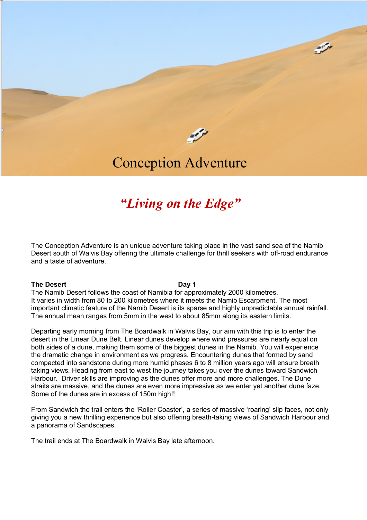

 $\sim$ 

# Conception Adventure

## *"Living on the Edge"*

The Conception Adventure is an unique adventure taking place in the vast sand sea of the Namib Desert south of Walvis Bay offering the ultimate challenge for thrill seekers with off-road endurance and a taste of adventure.

#### **The Desert Day 1**

The Namib Desert follows the coast of Namibia for approximately 2000 kilometres. It varies in width from 80 to 200 kilometres where it meets the Namib Escarpment. The most important climatic feature of the Namib Desert is its sparse and highly unpredictable annual rainfall. The annual mean ranges from 5mm in the west to about 85mm along its eastern limits.

Departing early morning from The Boardwalk in Walvis Bay, our aim with this trip is to enter the desert in the Linear Dune Belt. Linear dunes develop where wind pressures are nearly equal on both sides of a dune, making them some of the biggest dunes in the Namib. You will experience the dramatic change in environment as we progress. Encountering dunes that formed by sand compacted into sandstone during more humid phases 6 to 8 million years ago will ensure breath taking views. Heading from east to west the journey takes you over the dunes toward Sandwich Harbour. Driver skills are improving as the dunes offer more and more challenges. The Dune straits are massive, and the dunes are even more impressive as we enter yet another dune faze. Some of the dunes are in excess of 150m high!!

From Sandwich the trail enters the 'Roller Coaster', a series of massive 'roaring' slip faces, not only giving you a new thrilling experience but also offering breath-taking views of Sandwich Harbour and a panorama of Sandscapes.

The trail ends at The Boardwalk in Walvis Bay late afternoon.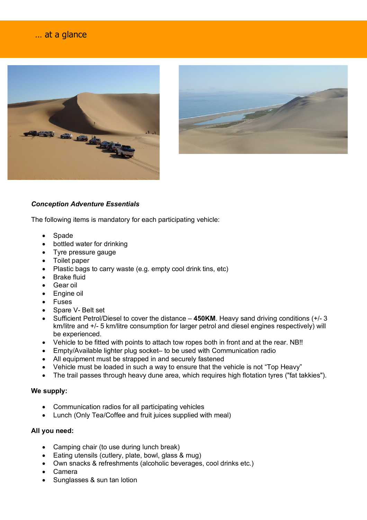### … at a glance

j





#### *Conception Adventure Essentials*

The following items is mandatory for each participating vehicle:

- Spade
- bottled water for drinking
- Tyre pressure gauge
- Toilet paper
- Plastic bags to carry waste (e.g. empty cool drink tins, etc)
- Brake fluid
- Gear oil
- Engine oil
- **Fuses**
- Spare V- Belt set
- Sufficient Petrol/Diesel to cover the distance **450KM**. Heavy sand driving conditions (+/- 3 km/litre and +/- 5 km/litre consumption for larger petrol and diesel engines respectively) will be experienced.
- Vehicle to be fitted with points to attach tow ropes both in front and at the rear. NB!!
- Empty/Available lighter plug socket– to be used with Communication radio
- All equipment must be strapped in and securely fastened
- Vehicle must be loaded in such a way to ensure that the vehicle is not "Top Heavy"
- The trail passes through heavy dune area, which requires high flotation tyres ("fat takkies").

#### **We supply:**

- Communication radios for all participating vehicles
- Lunch (Only Tea/Coffee and fruit juices supplied with meal)

#### **All you need:**

- Camping chair (to use during lunch break)
- Eating utensils (cutlery, plate, bowl, glass & mug)
- Own snacks & refreshments (alcoholic beverages, cool drinks etc.)
- Camera
- Sunglasses & sun tan lotion